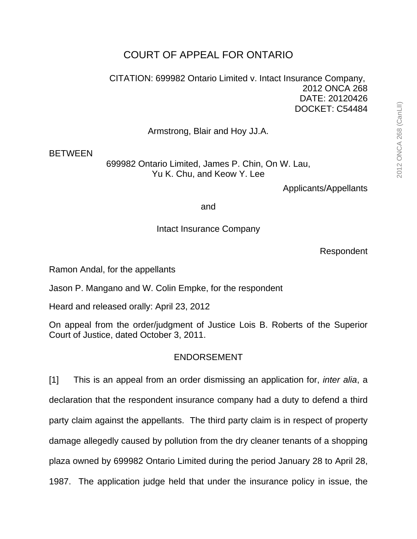## COURT OF APPEAL FOR ONTARIO

CITATION: 699982 Ontario Limited v. Intact Insurance Company, 2012 ONCA 268 DATE: 20120426 DOCKET: C54484

Armstrong, Blair and Hoy JJ.A.

## **BETWEEN**

699982 Ontario Limited, James P. Chin, On W. Lau, Yu K. Chu, and Keow Y. Lee

Applicants/Appellants

and

Intact Insurance Company

Respondent

Ramon Andal, for the appellants

Jason P. Mangano and W. Colin Empke, for the respondent

Heard and released orally: April 23, 2012

On appeal from the order/judgment of Justice Lois B. Roberts of the Superior Court of Justice, dated October 3, 2011.

## ENDORSEMENT

[1] This is an appeal from an order dismissing an application for, *inter alia*, a declaration that the respondent insurance company had a duty to defend a third party claim against the appellants. The third party claim is in respect of property damage allegedly caused by pollution from the dry cleaner tenants of a shopping plaza owned by 699982 Ontario Limited during the period January 28 to April 28, 1987. The application judge held that under the insurance policy in issue, the